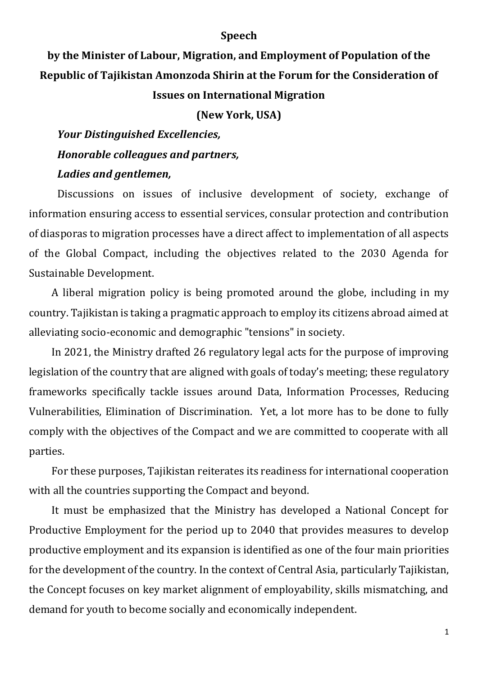#### **Speech**

# **by the Minister of Labour, Migration, and Employment of Population of the Republic of Tajikistan Amonzoda Shirin at the Forum for the Consideration of Issues on International Migration**

#### **(New York, USA)**

# *Your Distinguished Excellencies, Honorable colleagues and partners, Ladies and gentlemen,*

Discussions on issues of inclusive development of society, exchange of information ensuring access to essential services, consular protection and contribution of diasporas to migration processes have a direct affect to implementation of all aspects of the Global Compact, including the objectives related to the 2030 Agenda for Sustainable Development.

A liberal migration policy is being promoted around the globe, including in my country. Tajikistan is taking a pragmatic approach to employ its citizens abroad aimed at alleviating socio-economic and demographic "tensions" in society.

In 2021, the Ministry drafted 26 regulatory legal acts for the purpose of improving legislation of the country that are aligned with goals of today's meeting; these regulatory frameworks specifically tackle issues around Data, Information Processes, Reducing Vulnerabilities, Elimination of Discrimination. Yet, a lot more has to be done to fully comply with the objectives of the Compact and we are committed to cooperate with all parties.

For these purposes, Tajikistan reiterates its readiness for international cooperation with all the countries supporting the Compact and beyond.

It must be emphasized that the Ministry has developed a National Concept for Productive Employment for the period up to 2040 that provides measures to develop productive employment and its expansion is identified as one of the four main priorities for the development of the country. In the context of Central Asia, particularly Tajikistan, the Concept focuses on key market alignment of employability, skills mismatching, and demand for youth to become socially and economically independent.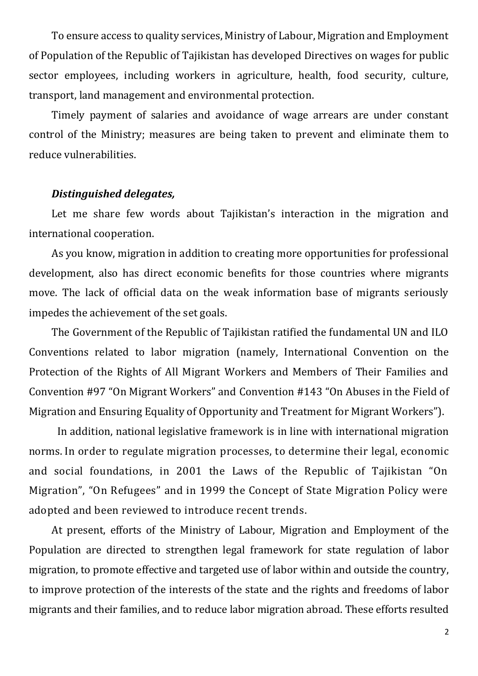To ensure access to quality services, Ministry of Labour, Migration and Employment of Population of the Republic of Tajikistan has developed Directives on wages for public sector employees, including workers in agriculture, health, food security, culture, transport, land management and environmental protection.

Timely payment of salaries and avoidance of wage arrears are under constant control of the Ministry; measures are being taken to prevent and eliminate them to reduce vulnerabilities.

### *Distinguished delegates,*

Let me share few words about Tajikistan's interaction in the migration and international cooperation.

As you know, migration in addition to creating more opportunities for professional development, also has direct economic benefits for those countries where migrants move. The lack of official data on the weak information base of migrants seriously impedes the achievement of the set goals.

The Government of the Republic of Tajikistan ratified the fundamental UN and ILO Conventions related to labor migration (namely, International Convention on the Protection of the Rights of All Migrant Workers and Members of Their Families and Convention #97 "On Migrant Workers" and Convention #143 "On Abuses in the Field of Migration and Ensuring Equality of Opportunity and Treatment for Migrant Workers").

In addition, national legislative framework is in line with international migration norms. In order to regulate migration processes, to determine their legal, economic and social foundations, in 2001 the Laws of the Republic of Tajikistan "On Migration", "On Refugees" and in 1999 the Concept of State Migration Policy were adopted and been reviewed to introduce recent trends.

At present, efforts of the Ministry of Labour, Migration and Employment of the Population are directed to strengthen legal framework for state regulation of labor migration, to promote effective and targeted use of labor within and outside the country, to improve protection of the interests of the state and the rights and freedoms of labor migrants and their families, and to reduce labor migration abroad. These efforts resulted